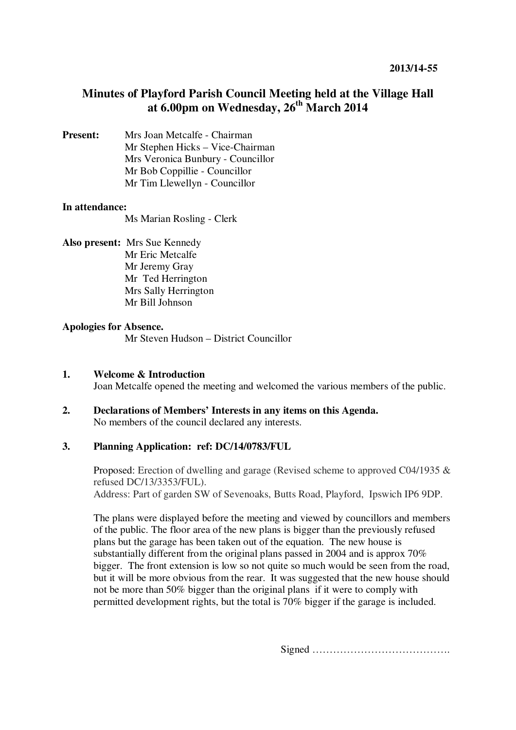# **Minutes of Playford Parish Council Meeting held at the Village Hall at 6.00pm on Wednesday, 26th March 2014**

**Present:** Mrs Joan Metcalfe - Chairman Mr Stephen Hicks – Vice-Chairman Mrs Veronica Bunbury - Councillor Mr Bob Coppillie - Councillor Mr Tim Llewellyn - Councillor

#### **In attendance:**

Ms Marian Rosling - Clerk

#### **Also present:** Mrs Sue Kennedy

Mr Eric Metcalfe Mr Jeremy Gray Mr Ted Herrington Mrs Sally Herrington Mr Bill Johnson

#### **Apologies for Absence.**

Mr Steven Hudson – District Councillor

#### **1. Welcome & Introduction**  Joan Metcalfe opened the meeting and welcomed the various members of the public.

**2. Declarations of Members' Interests in any items on this Agenda.**  No members of the council declared any interests.

## **3. Planning Application: ref: DC/14/0783/FUL**

Proposed: Erection of dwelling and garage (Revised scheme to approved C04/1935 & refused DC/13/3353/FUL). Address: Part of garden SW of Sevenoaks, Butts Road, Playford, Ipswich IP6 9DP.

The plans were displayed before the meeting and viewed by councillors and members of the public. The floor area of the new plans is bigger than the previously refused plans but the garage has been taken out of the equation. The new house is substantially different from the original plans passed in 2004 and is approx 70% bigger. The front extension is low so not quite so much would be seen from the road, but it will be more obvious from the rear. It was suggested that the new house should not be more than 50% bigger than the original plans if it were to comply with permitted development rights, but the total is 70% bigger if the garage is included.

Signed ………………………………….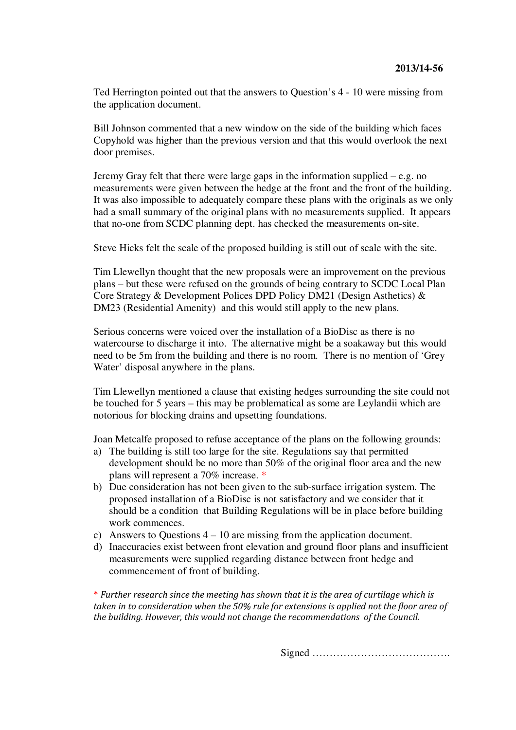Ted Herrington pointed out that the answers to Question's 4 - 10 were missing from the application document.

Bill Johnson commented that a new window on the side of the building which faces Copyhold was higher than the previous version and that this would overlook the next door premises.

Jeremy Gray felt that there were large gaps in the information supplied – e.g. no measurements were given between the hedge at the front and the front of the building. It was also impossible to adequately compare these plans with the originals as we only had a small summary of the original plans with no measurements supplied. It appears that no-one from SCDC planning dept. has checked the measurements on-site.

Steve Hicks felt the scale of the proposed building is still out of scale with the site.

Tim Llewellyn thought that the new proposals were an improvement on the previous plans – but these were refused on the grounds of being contrary to SCDC Local Plan Core Strategy & Development Polices DPD Policy DM21 (Design Asthetics) & DM23 (Residential Amenity) and this would still apply to the new plans.

Serious concerns were voiced over the installation of a BioDisc as there is no watercourse to discharge it into. The alternative might be a soakaway but this would need to be 5m from the building and there is no room. There is no mention of 'Grey Water' disposal anywhere in the plans.

Tim Llewellyn mentioned a clause that existing hedges surrounding the site could not be touched for 5 years – this may be problematical as some are Leylandii which are notorious for blocking drains and upsetting foundations.

Joan Metcalfe proposed to refuse acceptance of the plans on the following grounds:

- a) The building is still too large for the site. Regulations say that permitted development should be no more than 50% of the original floor area and the new plans will represent a 70% increase. \*
- b) Due consideration has not been given to the sub-surface irrigation system. The proposed installation of a BioDisc is not satisfactory and we consider that it should be a condition that Building Regulations will be in place before building work commences.
- c) Answers to Questions 4 10 are missing from the application document.
- d) Inaccuracies exist between front elevation and ground floor plans and insufficient measurements were supplied regarding distance between front hedge and commencement of front of building.

\* Further research since the meeting has shown that it is the area of curtilage which is taken in to consideration when the 50% rule for extensions is applied not the floor area of the building. However, this would not change the recommendations of the Council.

Signed ………………………………….